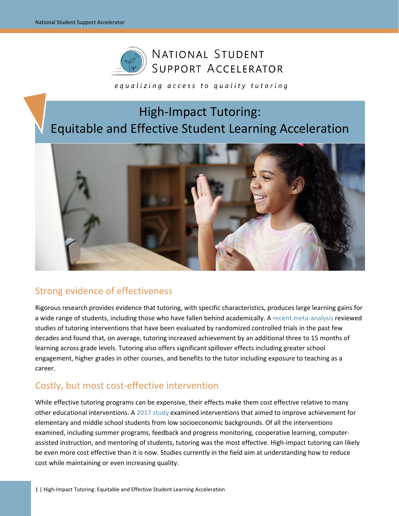

### equalizing access to quality tutoring

# High-Impact Tutoring: Equitable and Effective Student Learning Acceleration



## Strong evidence of effectiveness

Rigorous research provides evidence that tutoring, with specific characteristics, produces large learning gains for a wide range of students, including those who have fallen behind academically. A [recent meta-analysis](https://www.edworkingpapers.com/ai20-267) reviewed studies of tutoring interventions that have been evaluated by randomized controlled trials in the past few decades and found that, on average, tutoring increased achievement by an additional three to 15 months of learning across grade levels. Tutoring also offers significant spillover effects including greater school engagement, higher grades in other courses, and benefits to the tutor including exposure to teaching as a career.

## Costly, but most cost-effective intervention

While effective tutoring programs can be expensive, their effects make them cost effective relative to many other educational interventions. A [2017 study](https://journals.sagepub.com/doi/abs/10.3102/0034654316687036?journalCode=rera) examined interventions that aimed to improve achievement for elementary and middle school students from low socioeconomic backgrounds. Of all the interventions examined, including summer programs, feedback and progress monitoring, cooperative learning, computerassisted instruction, and mentoring of students, tutoring was the most effective. High-impact tutoring can likely be even more cost effective than it is now. Studies currently in the field aim at understanding how to reduce cost while maintaining or even increasing quality.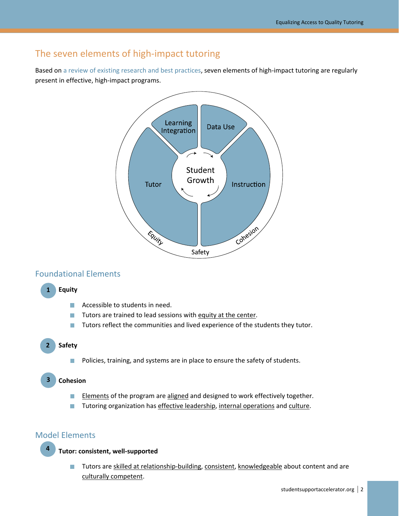## The seven elements of high-impact tutoring

Based on [a review of existing research and best practices,](https://studentsupportaccelerator.com/sites/default/files/Accelerator_Research_Agenda.pdf) seven elements of high-impact tutoring are regularly present in effective, high-impact programs.



### Foundational Elements

#### **1. Equity 1**

- Accessible to students in need. m.
- Tutors are trained to lead sessions with equity at the center.  $\mathcal{L}_{\mathcal{A}}$
- П Tutors reflect the communities and lived experience of the students they tutor.

#### **2. Safety 2**

Policies, training, and systems are in place to ensure the safety of students. П

#### **3. Cohesion 3**

- $\mathcal{C}^{\mathcal{A}}$ Elements of the program are aligned and designed to work effectively together.
- Tutoring organization has effective leadership, internal operations and culture.  $\mathcal{L}_{\mathcal{A}}$

### Model Elements

**4**

**4. Tutor: consistent, well-supported**

Tutors are skilled at relationship-building, consistent, knowledgeable about content and are  $\mathcal{L}_{\mathcal{A}}$ culturally competent.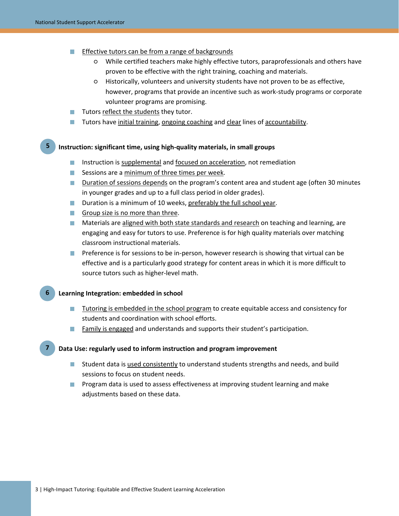- Effective tutors can be from a range of backgrounds
	- While certified teachers make highly effective tutors, paraprofessionals and others have proven to be effective with the right training, coaching and materials.
	- Historically, volunteers and university students have not proven to be as effective, however, programs that provide an incentive such as work-study programs or corporate volunteer programs are promising.
- $\blacksquare$  Tutors reflect the students they tutor.
- Tutors have initial training, ongoing coaching and clear lines of accountability. **Contract**

#### **5. Instruction: significant time, using high-quality materials, in small groups 5**

- **Instruction is supplemental and focused on acceleration, not remediation**
- $\blacksquare$  Sessions are a minimum of three times per week.
- **Duration of sessions depends on the program's content area and student age (often 30 minutes** in younger grades and up to a full class period in older grades).
- **Duration is a minimum of 10 weeks, preferably the full school year.**
- Group size is no more than three.
- **Materials are aligned with both state standards and research on teaching and learning, are** engaging and easy for tutors to use. Preference is for high quality materials over matching classroom instructional materials.
- **Preference is for sessions to be in-person, however research is showing that virtual can be** effective and is a particularly good strategy for content areas in which it is more difficult to source tutors such as higher-level math.

#### **6. Learning Integration: embedded in school 6**

- Tutoring is embedded in the school program to create equitable access and consistency for students and coordination with school efforts.
- **Family is engaged and understands and supports their student's participation.**

#### **7. Data Use: regularly used to inform instruction and program improvement 7**

- **Student data is used consistently to understand students strengths and needs, and build** sessions to focus on student needs.
- **Program data is used to assess effectiveness at improving student learning and make** adjustments based on these data.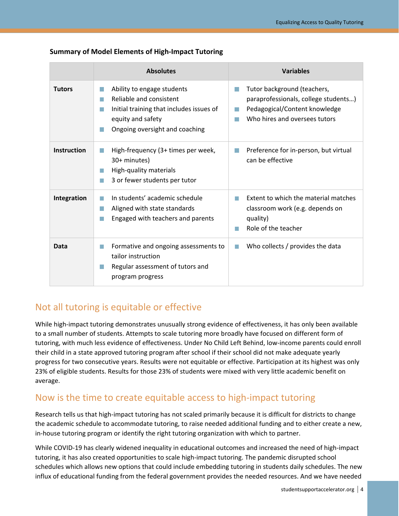|                    | <b>Absolutes</b>                                                                                                                                                                                  | <b>Variables</b>                                                                                                                                                  |
|--------------------|---------------------------------------------------------------------------------------------------------------------------------------------------------------------------------------------------|-------------------------------------------------------------------------------------------------------------------------------------------------------------------|
| <b>Tutors</b>      | Ability to engage students<br>$\Box$<br>Reliable and consistent<br><b>College</b><br>Initial training that includes issues of<br>T.<br>equity and safety<br>Ongoing oversight and coaching<br>t i | Tutor background (teachers,<br>$\Box$<br>paraprofessionals, college students)<br>Pedagogical/Content knowledge<br>l a l<br>Who hires and oversees tutors<br>l a l |
| <b>Instruction</b> | High-frequency (3+ times per week,<br>30+ minutes)<br>High-quality materials<br>m.<br>3 or fewer students per tutor<br>T.                                                                         | Preference for in-person, but virtual<br><b>I</b><br>can be effective                                                                                             |
| Integration        | In students' academic schedule<br>Aligned with state standards<br>H.<br>Engaged with teachers and parents<br><b>College</b>                                                                       | Extent to which the material matches<br>n.<br>classroom work (e.g. depends on<br>quality)<br>Role of the teacher<br>٠                                             |
| Data               | Formative and ongoing assessments to<br>T.<br>tailor instruction<br>Regular assessment of tutors and<br>program progress                                                                          | Who collects / provides the data<br>l a l                                                                                                                         |

### **Summary of Model Elements of High-Impact Tutoring**

## Not all tutoring is equitable or effective

While high-impact tutoring demonstrates unusually strong evidence of effectiveness, it has only been available to a small number of students. Attempts to scale tutoring more broadly have focused on different form of tutoring, with much less evidence of effectiveness. Under No Child Left Behind, low-income parents could enroll their child in a state approved tutoring program after school if their school did not make adequate yearly progress for two consecutive years. Results were not equitable or effective. Participation at its highest was only 23% of eligible students. Results for those 23% of students were mixed with very little academic benefit on average.

## Now is the time to create equitable access to high-impact tutoring

Research tells us that high-impact tutoring has not scaled primarily because it is difficult for districts to change the academic schedule to accommodate tutoring, to raise needed additional funding and to either create a new, in-house tutoring program or identify the right tutoring organization with which to partner.

While COVID-19 has clearly widened inequality in educational outcomes and increased the need of high-impact tutoring, it has also created opportunities to scale high-impact tutoring. The pandemic disrupted school schedules which allows new options that could include embedding tutoring in students daily schedules. The new influx of educational funding from the federal government provides the needed resources. And we have needed